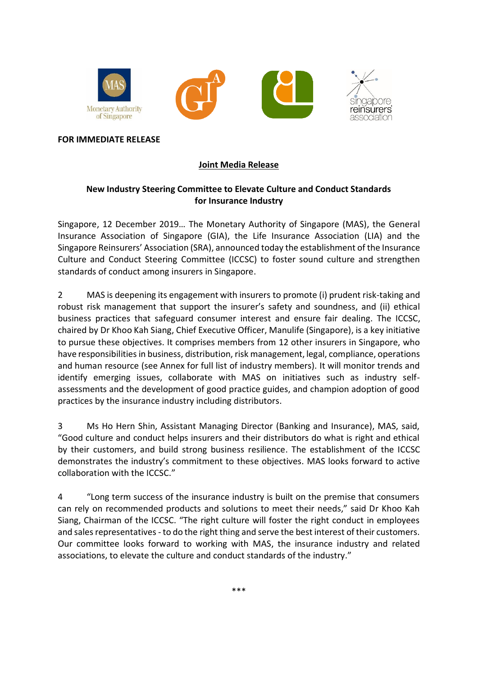

#### **FOR IMMEDIATE RELEASE**

#### **Joint Media Release**

### **New Industry Steering Committee to Elevate Culture and Conduct Standards for Insurance Industry**

Singapore, 12 December 2019… The Monetary Authority of Singapore (MAS), the General Insurance Association of Singapore (GIA), the Life Insurance Association (LIA) and the Singapore Reinsurers' Association (SRA), announced today the establishment of the Insurance Culture and Conduct Steering Committee (ICCSC) to foster sound culture and strengthen standards of conduct among insurers in Singapore.

2 MAS is deepening its engagement with insurers to promote (i) prudent risk-taking and robust risk management that support the insurer's safety and soundness, and (ii) ethical business practices that safeguard consumer interest and ensure fair dealing. The ICCSC, chaired by Dr Khoo Kah Siang, Chief Executive Officer, Manulife (Singapore), is a key initiative to pursue these objectives. It comprises members from 12 other insurers in Singapore, who have responsibilities in business, distribution, risk management, legal, compliance, operations and human resource (see Annex for full list of industry members). It will monitor trends and identify emerging issues, collaborate with MAS on initiatives such as industry selfassessments and the development of good practice guides, and champion adoption of good practices by the insurance industry including distributors.

3 Ms Ho Hern Shin, Assistant Managing Director (Banking and Insurance), MAS, said, "Good culture and conduct helps insurers and their distributors do what is right and ethical by their customers, and build strong business resilience. The establishment of the ICCSC demonstrates the industry's commitment to these objectives. MAS looks forward to active collaboration with the ICCSC."

4 "Long term success of the insurance industry is built on the premise that consumers can rely on recommended products and solutions to meet their needs," said Dr Khoo Kah Siang, Chairman of the ICCSC. "The right culture will foster the right conduct in employees and sales representatives - to do the right thing and serve the best interest of their customers. Our committee looks forward to working with MAS, the insurance industry and related associations, to elevate the culture and conduct standards of the industry."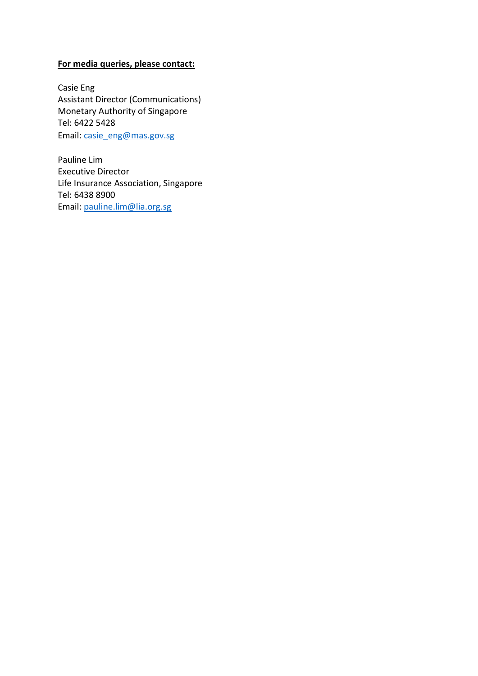## **For media queries, please contact:**

Casie Eng Assistant Director (Communications) Monetary Authority of Singapore Tel: 6422 5428 Email: [casie\\_eng@mas.gov.sg](mailto:casie_eng@mas.gov.sg)

Pauline Lim Executive Director Life Insurance Association, Singapore Tel: 6438 8900 Email: [pauline.lim@lia.org.sg](mailto:pauline.lim@lia.org.sg)